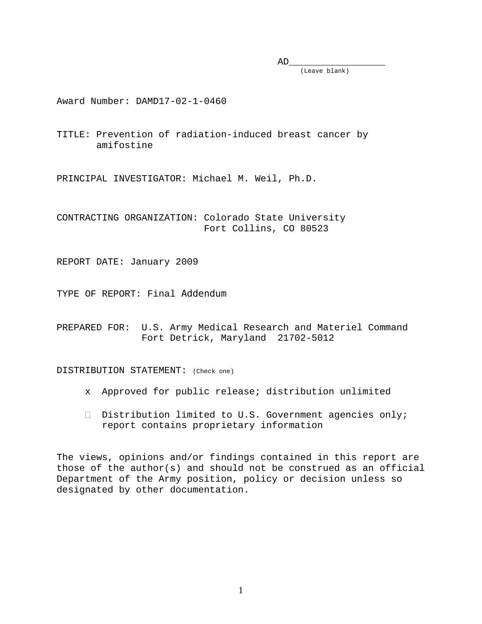$AD$  (Leave blank) \_\_\_\_\_\_\_\_\_\_\_\_\_\_\_

Award Number: DAMD17-02-1-0460

TITLE: Prevention of radiation-induced breast cancer by amifostine

PRINCIPAL INVESTIGATOR: Michael M. Weil, Ph.D.

CONTRACTING ORGANIZATION: Colorado State University Fort Collins, CO 80523

REPORT DATE: January 2009

TYPE OF REPORT: Final Addendum

PREPARED FOR: U.S. Army Medical Research and Materiel Command Fort Detrick, Maryland 21702-5012

DISTRIBUTION STATEMENT: (Check one)

- x Approved for public release; distribution unlimited
- $\Box$  Distribution limited to U.S. Government agencies only; report contains proprietary information

The views, opinions and/or findings contained in this report are those of the author(s) and should not be construed as an official Department of the Army position, policy or decision unless so designated by other documentation.

 $\mathbf{1}$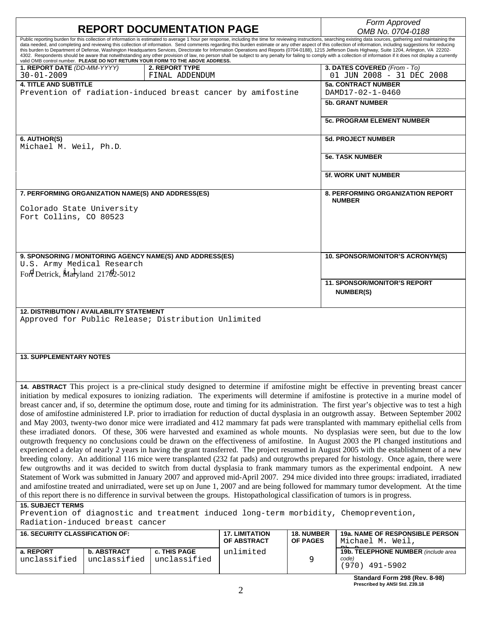| <b>REPORT DOCUMENTATION PAGE</b>                                                                                                                                                                                                                                         |                    |                                  |                                      |                               | Form Approved                                                                                                                                                                                                                                                                                                                                                                                                                                                                                                                                                                                                                                        |
|--------------------------------------------------------------------------------------------------------------------------------------------------------------------------------------------------------------------------------------------------------------------------|--------------------|----------------------------------|--------------------------------------|-------------------------------|------------------------------------------------------------------------------------------------------------------------------------------------------------------------------------------------------------------------------------------------------------------------------------------------------------------------------------------------------------------------------------------------------------------------------------------------------------------------------------------------------------------------------------------------------------------------------------------------------------------------------------------------------|
| Public reporting burden for this collection of information is estimated to average 1 hour per response, including the time for reviewing instructions, searching existing data sources, gathering and maintaining the                                                    |                    |                                  |                                      |                               | OMB No. 0704-0188                                                                                                                                                                                                                                                                                                                                                                                                                                                                                                                                                                                                                                    |
| valid OMB control number. PLEASE DO NOT RETURN YOUR FORM TO THE ABOVE ADDRESS.                                                                                                                                                                                           |                    |                                  |                                      |                               | data needed, and completing and reviewing this collection of information. Send comments regarding this burden estimate or any other aspect of this collection of information, including suggestions for reducing<br>this burden to Department of Defense, Washington Headquarters Services, Directorate for Information Operations and Reports (0704-0188), 1215 Jefferson Davis Highway, Suite 1204, Arlington, VA 22202-<br>4302. Respondents should be aware that notwithstanding any other provision of law, no person shall be subject to any penalty for failing to comply with a collection of information if it does not display a currently |
| 1. REPORT DATE (DD-MM-YYYY)<br>$30 - 01 - 2009$                                                                                                                                                                                                                          |                    | 2. REPORT TYPE<br>FINAL ADDENDUM |                                      |                               | 3. DATES COVERED (From - To)<br>01 JUN 2008 - 31 DEC 2008                                                                                                                                                                                                                                                                                                                                                                                                                                                                                                                                                                                            |
| <b>4. TITLE AND SUBTITLE</b><br>Prevention of radiation-induced breast cancer by amifostine                                                                                                                                                                              |                    |                                  |                                      |                               | <b>5a. CONTRACT NUMBER</b><br>DAMD17-02-1-0460                                                                                                                                                                                                                                                                                                                                                                                                                                                                                                                                                                                                       |
|                                                                                                                                                                                                                                                                          |                    |                                  |                                      |                               | <b>5b. GRANT NUMBER</b>                                                                                                                                                                                                                                                                                                                                                                                                                                                                                                                                                                                                                              |
|                                                                                                                                                                                                                                                                          |                    |                                  |                                      |                               | <b>5c. PROGRAM ELEMENT NUMBER</b>                                                                                                                                                                                                                                                                                                                                                                                                                                                                                                                                                                                                                    |
| 6. AUTHOR(S)<br>Michael M. Weil, Ph.D.                                                                                                                                                                                                                                   |                    |                                  |                                      |                               | <b>5d. PROJECT NUMBER</b>                                                                                                                                                                                                                                                                                                                                                                                                                                                                                                                                                                                                                            |
|                                                                                                                                                                                                                                                                          |                    |                                  |                                      |                               | <b>5e. TASK NUMBER</b>                                                                                                                                                                                                                                                                                                                                                                                                                                                                                                                                                                                                                               |
|                                                                                                                                                                                                                                                                          |                    |                                  |                                      |                               | <b>5f. WORK UNIT NUMBER</b>                                                                                                                                                                                                                                                                                                                                                                                                                                                                                                                                                                                                                          |
| 7. PERFORMING ORGANIZATION NAME(S) AND ADDRESS(ES)                                                                                                                                                                                                                       |                    |                                  |                                      |                               | <b>8. PERFORMING ORGANIZATION REPORT</b><br><b>NUMBER</b>                                                                                                                                                                                                                                                                                                                                                                                                                                                                                                                                                                                            |
| Colorado State University<br>Fort Collins, CO 80523                                                                                                                                                                                                                      |                    |                                  |                                      |                               |                                                                                                                                                                                                                                                                                                                                                                                                                                                                                                                                                                                                                                                      |
|                                                                                                                                                                                                                                                                          |                    |                                  |                                      |                               |                                                                                                                                                                                                                                                                                                                                                                                                                                                                                                                                                                                                                                                      |
| 9. SPONSORING / MONITORING AGENCY NAME(S) AND ADDRESS(ES)                                                                                                                                                                                                                |                    |                                  |                                      |                               | 10. SPONSOR/MONITOR'S ACRONYM(S)                                                                                                                                                                                                                                                                                                                                                                                                                                                                                                                                                                                                                     |
| U.S. Army Medical Research<br>Fort Detrick, Maryland 21702-5012                                                                                                                                                                                                          |                    |                                  |                                      |                               |                                                                                                                                                                                                                                                                                                                                                                                                                                                                                                                                                                                                                                                      |
|                                                                                                                                                                                                                                                                          |                    |                                  |                                      |                               | <b>11. SPONSOR/MONITOR'S REPORT</b><br>NUMBER(S)                                                                                                                                                                                                                                                                                                                                                                                                                                                                                                                                                                                                     |
| <b>12. DISTRIBUTION / AVAILABILITY STATEMENT</b><br>Approved for Public Release; Distribution Unlimited                                                                                                                                                                  |                    |                                  |                                      |                               |                                                                                                                                                                                                                                                                                                                                                                                                                                                                                                                                                                                                                                                      |
|                                                                                                                                                                                                                                                                          |                    |                                  |                                      |                               |                                                                                                                                                                                                                                                                                                                                                                                                                                                                                                                                                                                                                                                      |
|                                                                                                                                                                                                                                                                          |                    |                                  |                                      |                               |                                                                                                                                                                                                                                                                                                                                                                                                                                                                                                                                                                                                                                                      |
| <b>13. SUPPLEMENTARY NOTES</b>                                                                                                                                                                                                                                           |                    |                                  |                                      |                               |                                                                                                                                                                                                                                                                                                                                                                                                                                                                                                                                                                                                                                                      |
|                                                                                                                                                                                                                                                                          |                    |                                  |                                      |                               | 14. ABSTRACT This project is a pre-clinical study designed to determine if amifostine might be effective in preventing breast cancer                                                                                                                                                                                                                                                                                                                                                                                                                                                                                                                 |
|                                                                                                                                                                                                                                                                          |                    |                                  |                                      |                               | initiation by medical exposures to ionizing radiation. The experiments will determine if amifostine is protective in a murine model of                                                                                                                                                                                                                                                                                                                                                                                                                                                                                                               |
|                                                                                                                                                                                                                                                                          |                    |                                  |                                      |                               | breast cancer and, if so, determine the optimum dose, route and timing for its administration. The first year's objective was to test a high<br>dose of amifostine administered I.P. prior to irradiation for reduction of ductal dysplasia in an outgrowth assay. Between September 2002                                                                                                                                                                                                                                                                                                                                                            |
|                                                                                                                                                                                                                                                                          |                    |                                  |                                      |                               | and May 2003, twenty-two donor mice were irradiated and 412 mammary fat pads were transplanted with mammary epithelial cells from                                                                                                                                                                                                                                                                                                                                                                                                                                                                                                                    |
|                                                                                                                                                                                                                                                                          |                    |                                  |                                      |                               | these irradiated donors. Of these, 306 were harvested and examined as whole mounts. No dysplasias were seen, but due to the low                                                                                                                                                                                                                                                                                                                                                                                                                                                                                                                      |
|                                                                                                                                                                                                                                                                          |                    |                                  |                                      |                               | outgrowth frequency no conclusions could be drawn on the effectiveness of amifostine. In August 2003 the PI changed institutions and                                                                                                                                                                                                                                                                                                                                                                                                                                                                                                                 |
|                                                                                                                                                                                                                                                                          |                    |                                  |                                      |                               | experienced a delay of nearly 2 years in having the grant transferred. The project resumed in August 2005 with the establishment of a new                                                                                                                                                                                                                                                                                                                                                                                                                                                                                                            |
| breeding colony. An additional 116 mice were transplanted (232 fat pads) and outgrowths prepared for histology. Once again, there were                                                                                                                                   |                    |                                  |                                      |                               |                                                                                                                                                                                                                                                                                                                                                                                                                                                                                                                                                                                                                                                      |
| few outgrowths and it was decided to switch from ductal dysplasia to frank mammary tumors as the experimental endpoint. A new<br>Statement of Work was submitted in January 2007 and approved mid-April 2007. 294 mice divided into three groups: irradiated, irradiated |                    |                                  |                                      |                               |                                                                                                                                                                                                                                                                                                                                                                                                                                                                                                                                                                                                                                                      |
| and amifostine treated and unirradiated, were set up on June 1, 2007 and are being followed for mammary tumor development. At the time                                                                                                                                   |                    |                                  |                                      |                               |                                                                                                                                                                                                                                                                                                                                                                                                                                                                                                                                                                                                                                                      |
| of this report there is no difference in survival between the groups. Histopathological classification of tumors is in progress.                                                                                                                                         |                    |                                  |                                      |                               |                                                                                                                                                                                                                                                                                                                                                                                                                                                                                                                                                                                                                                                      |
| <b>15. SUBJECT TERMS</b>                                                                                                                                                                                                                                                 |                    |                                  |                                      |                               |                                                                                                                                                                                                                                                                                                                                                                                                                                                                                                                                                                                                                                                      |
| Prevention of diagnostic and treatment induced long-term morbidity, Chemoprevention,<br>Radiation-induced breast cancer                                                                                                                                                  |                    |                                  |                                      |                               |                                                                                                                                                                                                                                                                                                                                                                                                                                                                                                                                                                                                                                                      |
| <b>16. SECURITY CLASSIFICATION OF:</b>                                                                                                                                                                                                                                   |                    |                                  | <b>17. LIMITATION</b><br>OF ABSTRACT | <b>18. NUMBER</b><br>OF PAGES | <b>19a. NAME OF RESPONSIBLE PERSON</b><br>Michael M. Weil,                                                                                                                                                                                                                                                                                                                                                                                                                                                                                                                                                                                           |
| a. REPORT                                                                                                                                                                                                                                                                | <b>b. ABSTRACT</b> | c. THIS PAGE                     | unlimited                            |                               | 19b. TELEPHONE NUMBER (include area                                                                                                                                                                                                                                                                                                                                                                                                                                                                                                                                                                                                                  |
| unclassified                                                                                                                                                                                                                                                             | unclassified       | unclassified                     |                                      | 9                             | code)<br>$(970)$ 491-5902                                                                                                                                                                                                                                                                                                                                                                                                                                                                                                                                                                                                                            |

|  | エンエ しノいム             |  |
|--|----------------------|--|
|  | anderd Form 208 /Por |  |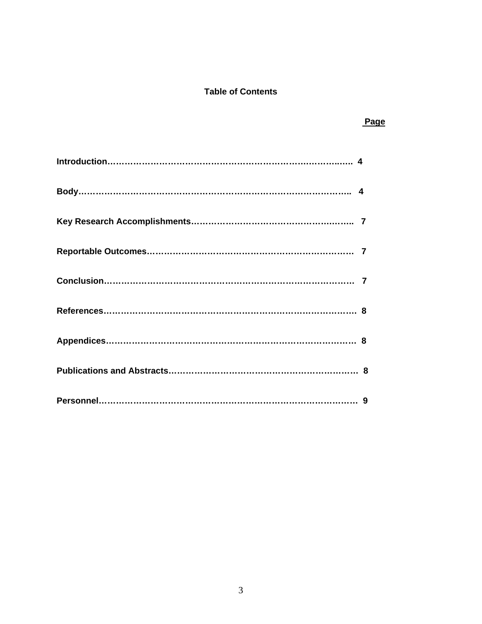# **Table of Contents**

 *Page* Product the Contract of the Contract of the Page Product of the Page Product of the Page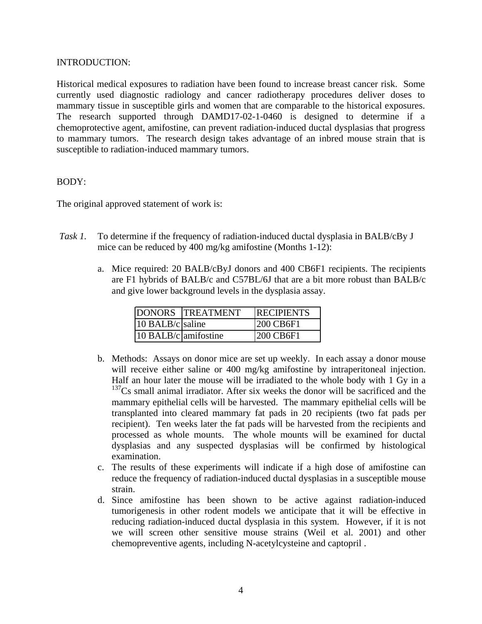#### INTRODUCTION:

Historical medical exposures to radiation have been found to increase breast cancer risk. Some currently used diagnostic radiology and cancer radiotherapy procedures deliver doses to mammary tissue in susceptible girls and women that are comparable to the historical exposures. The research supported through DAMD17-02-1-0460 is designed to determine if a chemoprotective agent, amifostine, can prevent radiation-induced ductal dysplasias that progress to mammary tumors. The research design takes advantage of an inbred mouse strain that is susceptible to radiation-induced mammary tumors.

#### BODY:

The original approved statement of work is:

- *Task 1.* To determine if the frequency of radiation-induced ductal dysplasia in BALB/cBy J mice can be reduced by 400 mg/kg amifostine (Months 1-12):
	- a. Mice required: 20 BALB/cByJ donors and 400 CB6F1 recipients. The recipients are F1 hybrids of BALB/c and C57BL/6J that are a bit more robust than BALB/c and give lower background levels in the dysplasia assay.

|                      | <b>IDONORS TREATMENT</b> | <b>IRECIPIENTS</b> |
|----------------------|--------------------------|--------------------|
| 10 BALB/c saline     |                          | 200 CB6F1          |
| 10 BALB/c amifostine |                          | 1200 CB6F1         |

- b. Methods: Assays on donor mice are set up weekly. In each assay a donor mouse will receive either saline or 400 mg/kg amifostine by intraperitoneal injection. Half an hour later the mouse will be irradiated to the whole body with 1 Gy in a  $137Cs$  small animal irradiator. After six weeks the donor will be sacrificed and the mammary epithelial cells will be harvested. The mammary epithelial cells will be transplanted into cleared mammary fat pads in 20 recipients (two fat pads per recipient). Ten weeks later the fat pads will be harvested from the recipients and processed as whole mounts. The whole mounts will be examined for ductal dysplasias and any suspected dysplasias will be confirmed by histological examination.
- c. The results of these experiments will indicate if a high dose of amifostine can reduce the frequency of radiation-induced ductal dysplasias in a susceptible mouse strain.
- d. Since amifostine has been shown to be active against radiation-induced tumorigenesis in other rodent models we anticipate that it will be effective in reducing radiation-induced ductal dysplasia in this system. However, if it is not we will screen other sensitive mouse strains (Weil et al. 2001) and other chemopreventive agents, including N-acetylcysteine and captopril .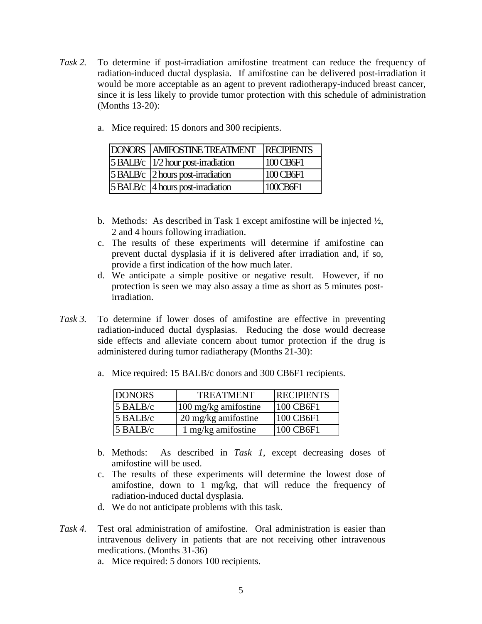- *Task 2.* To determine if post-irradiation amifostine treatment can reduce the frequency of radiation-induced ductal dysplasia. If amifostine can be delivered post-irradiation it would be more acceptable as an agent to prevent radiotherapy-induced breast cancer, since it is less likely to provide tumor protection with this schedule of administration (Months 13-20):
	- a. Mice required: 15 donors and 300 recipients.

| <b>DONORS AMIFOSTINE TREATMENT</b>     | <b>RECIPIENTS</b> |
|----------------------------------------|-------------------|
| 5 BALB/c   1/2 hour post-irradiation   | 100 CB6F1         |
| $5 B A L B/c$ 2 hours post-irradiation | 100 CB6F1         |
| $5 B A L B/c$ 4 hours post-irradiation | 100CB6F1          |

- b. Methods: As described in Task 1 except amifostine will be injected ½, 2 and 4 hours following irradiation.
- c. The results of these experiments will determine if amifostine can prevent ductal dysplasia if it is delivered after irradiation and, if so, provide a first indication of the how much later.
- d. We anticipate a simple positive or negative result. However, if no protection is seen we may also assay a time as short as 5 minutes postirradiation.
- *Task 3.* To determine if lower doses of amifostine are effective in preventing radiation-induced ductal dysplasias. Reducing the dose would decrease side effects and alleviate concern about tumor protection if the drug is administered during tumor radiatherapy (Months 21-30):
	- a. Mice required: 15 BALB/c donors and 300 CB6F1 recipients.

| <b>DONORS</b> | <b>TREATMENT</b>     | <b>RECIPIENTS</b> |
|---------------|----------------------|-------------------|
| 5 BALB/c      | 100 mg/kg amifostine | 100 CB6F1         |
| $5$ BALB/c    | 20 mg/kg amifostine  | 100 CB6F1         |
| $5$ BALB/c    | 1 mg/kg amifostine   | 100 CB6F1         |

- b. Methods: As described in *Task 1*, except decreasing doses of amifostine will be used.
- c. The results of these experiments will determine the lowest dose of amifostine, down to 1 mg/kg, that will reduce the frequency of radiation-induced ductal dysplasia.
- d. We do not anticipate problems with this task.
- *Task 4.* Test oral administration of amifostine. Oral administration is easier than intravenous delivery in patients that are not receiving other intravenous medications. (Months 31-36)
	- a. Mice required: 5 donors 100 recipients.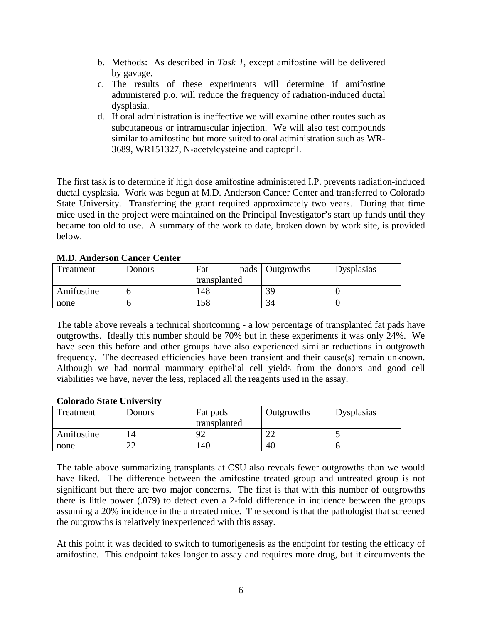- b. Methods: As described in *Task 1*, except amifostine will be delivered by gavage.
- c. The results of these experiments will determine if amifostine administered p.o. will reduce the frequency of radiation-induced ductal dysplasia.
- d. If oral administration is ineffective we will examine other routes such as subcutaneous or intramuscular injection. We will also test compounds similar to amifostine but more suited to oral administration such as WR-3689, WR151327, N-acetylcysteine and captopril.

The first task is to determine if high dose amifostine administered I.P. prevents radiation-induced ductal dysplasia. Work was begun at M.D. Anderson Cancer Center and transferred to Colorado State University. Transferring the grant required approximately two years. During that time mice used in the project were maintained on the Principal Investigator's start up funds until they became too old to use. A summary of the work to date, broken down by work site, is provided below.

| Treatment  | Donors | Fat<br>pads  | Outgrowths | Dysplasias |
|------------|--------|--------------|------------|------------|
|            |        | transplanted |            |            |
| Amifostine |        | 148          | 39         |            |
| none       |        | 58           | 34         |            |

# **M.D. Anderson Cancer Center**

The table above reveals a technical shortcoming - a low percentage of transplanted fat pads have outgrowths. Ideally this number should be 70% but in these experiments it was only 24%. We have seen this before and other groups have also experienced similar reductions in outgrowth frequency. The decreased efficiencies have been transient and their cause(s) remain unknown. Although we had normal mammary epithelial cell yields from the donors and good cell viabilities we have, never the less, replaced all the reagents used in the assay.

# **Colorado State University**

| Treatment  | <b>Donors</b> | Fat pads     | Outgrowths | Dysplasias |
|------------|---------------|--------------|------------|------------|
|            |               | transplanted |            |            |
| Amifostine | 14            | $\Omega$     | ^^<br>∠∠   |            |
| none       | ി<br>∠∠       | 40           | 40         |            |

The table above summarizing transplants at CSU also reveals fewer outgrowths than we would have liked. The difference between the amifostine treated group and untreated group is not significant but there are two major concerns. The first is that with this number of outgrowths there is little power (.079) to detect even a 2-fold difference in incidence between the groups assuming a 20% incidence in the untreated mice. The second is that the pathologist that screened the outgrowths is relatively inexperienced with this assay.

At this point it was decided to switch to tumorigenesis as the endpoint for testing the efficacy of amifostine. This endpoint takes longer to assay and requires more drug, but it circumvents the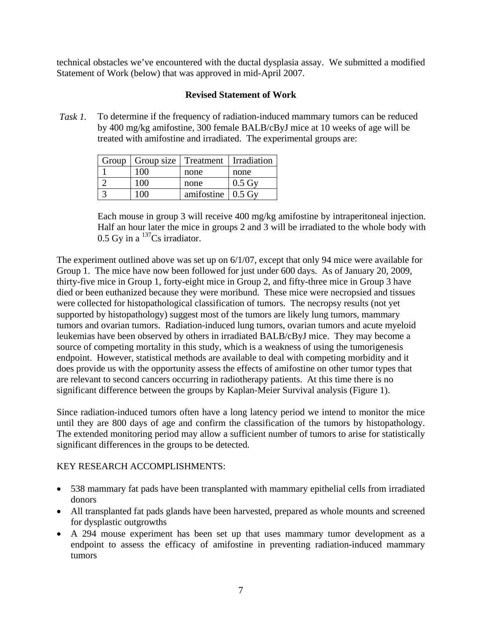technical obstacles we've encountered with the ductal dysplasia assay. We submitted a modified Statement of Work (below) that was approved in mid-April 2007.

## **Revised Statement of Work**

*Task 1.* To determine if the frequency of radiation-induced mammary tumors can be reduced by 400 mg/kg amifostine, 300 female BALB/cByJ mice at 10 weeks of age will be treated with amifostine and irradiated. The experimental groups are:

| Group | Group size   Treatment   Irradiation |                           |                    |
|-------|--------------------------------------|---------------------------|--------------------|
|       | 100                                  | none                      | none               |
|       | 100                                  | none                      | $0.5\,\mathrm{Gy}$ |
|       | 10O                                  | amifostine $\vert$ 0.5 Gv |                    |

Each mouse in group 3 will receive 400 mg/kg amifostine by intraperitoneal injection. Half an hour later the mice in groups 2 and 3 will be irradiated to the whole body with 0.5 Gy in a  $\mathrm{^{137}Cs}$  irradiator.

The experiment outlined above was set up on 6/1/07, except that only 94 mice were available for Group 1. The mice have now been followed for just under 600 days. As of January 20, 2009, thirty-five mice in Group 1, forty-eight mice in Group 2, and fifty-three mice in Group 3 have died or been euthanized because they were moribund. These mice were necropsied and tissues were collected for histopathological classification of tumors. The necropsy results (not yet supported by histopathology) suggest most of the tumors are likely lung tumors, mammary tumors and ovarian tumors. Radiation-induced lung tumors, ovarian tumors and acute myeloid leukemias have been observed by others in irradiated BALB/cByJ mice. They may become a source of competing mortality in this study, which is a weakness of using the tumorigenesis endpoint. However, statistical methods are available to deal with competing morbidity and it does provide us with the opportunity assess the effects of amifostine on other tumor types that are relevant to second cancers occurring in radiotherapy patients. At this time there is no significant difference between the groups by Kaplan-Meier Survival analysis (Figure 1).

Since radiation-induced tumors often have a long latency period we intend to monitor the mice until they are 800 days of age and confirm the classification of the tumors by histopathology. The extended monitoring period may allow a sufficient number of tumors to arise for statistically significant differences in the groups to be detected.

# KEY RESEARCH ACCOMPLISHMENTS:

- 538 mammary fat pads have been transplanted with mammary epithelial cells from irradiated donors
- All transplanted fat pads glands have been harvested, prepared as whole mounts and screened for dysplastic outgrowths
- A 294 mouse experiment has been set up that uses mammary tumor development as a endpoint to assess the efficacy of amifostine in preventing radiation-induced mammary tumors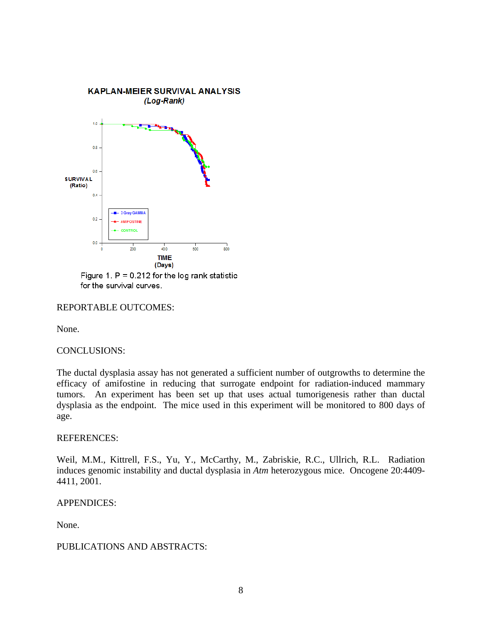

Figure 1.  $P = 0.212$  for the log rank statistic for the survival curves.

## REPORTABLE OUTCOMES:

None.

#### CONCLUSIONS:

The ductal dysplasia assay has not generated a sufficient number of outgrowths to determine the efficacy of amifostine in reducing that surrogate endpoint for radiation-induced mammary tumors. An experiment has been set up that uses actual tumorigenesis rather than ductal dysplasia as the endpoint. The mice used in this experiment will be monitored to 800 days of age.

#### REFERENCES:

Weil, M.M., Kittrell, F.S., Yu, Y., McCarthy, M., Zabriskie, R.C., Ullrich, R.L. Radiation induces genomic instability and ductal dysplasia in *Atm* heterozygous mice. Oncogene 20:4409- 4411, 2001.

#### APPENDICES:

None.

#### PUBLICATIONS AND ABSTRACTS: